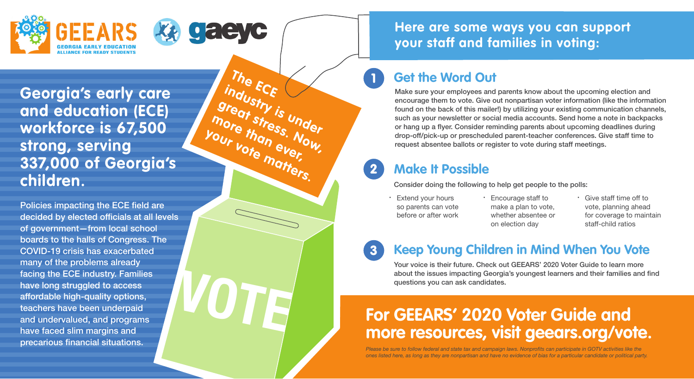



**The ECE** 

**your vote matters.** 

industry is under<br><sup>Ireat</sup>stry is under<br><sup>Ore</sup> th<sup>ress</sup> **great stress. Now, more than ever,** 

**VOTE**

**Georgia's early care and education (ECE) workforce is 67,500 strong, serving 337,000 of Georgia's children.**

Policies impacting the ECE field are decided by elected officials at all levels of government—from local school boards to the halls of Congress. The COVID-19 crisis has exacerbated many of the problems already facing the ECE industry. Families have long struggled to access affordable high-quality options, teachers have been underpaid and undervalued, and programs have faced slim margins and precarious financial situations.

## **Here are some ways you can support your staff and families in voting:**

# **Get the Word Out**

1

Make sure your employees and parents know about the upcoming election and encourage them to vote. Give out nonpartisan voter information (like the information found on the back of this mailer!) by utilizing your existing communication channels, such as your newsletter or social media accounts. Send home a note in backpacks or hang up a flyer. Consider reminding parents about upcoming deadlines during drop-off/pick-up or prescheduled parent-teacher conferences. Give staff time to request absentee ballots or register to vote during staff meetings.

#### 2 **Make It Possible**

Consider doing the following to help get people to the polls:

- Extend your hours so parents can vote before or after work
- · Encourage staff to make a plan to vote, whether absentee or on election day
- · Give staff time off to vote, planning ahead for coverage to maintain staff-child ratios

#### 3 **Keep Young Children in Mind When You Vote**

Your voice is their future. Check out GEEARS' 2020 Voter Guide to learn more about the issues impacting Georgia's youngest learners and their families and find questions you can ask candidates.

# **For GEEARS' 2020 Voter Guide and more resources, visit geears.org/vote.**

*Please be sure to follow federal and state tax and campaign laws. Nonprofits can participate in GOTV activities like the ones listed here, as long as they are nonpartisan and have no evidence of bias for a particular candidate or political party.*